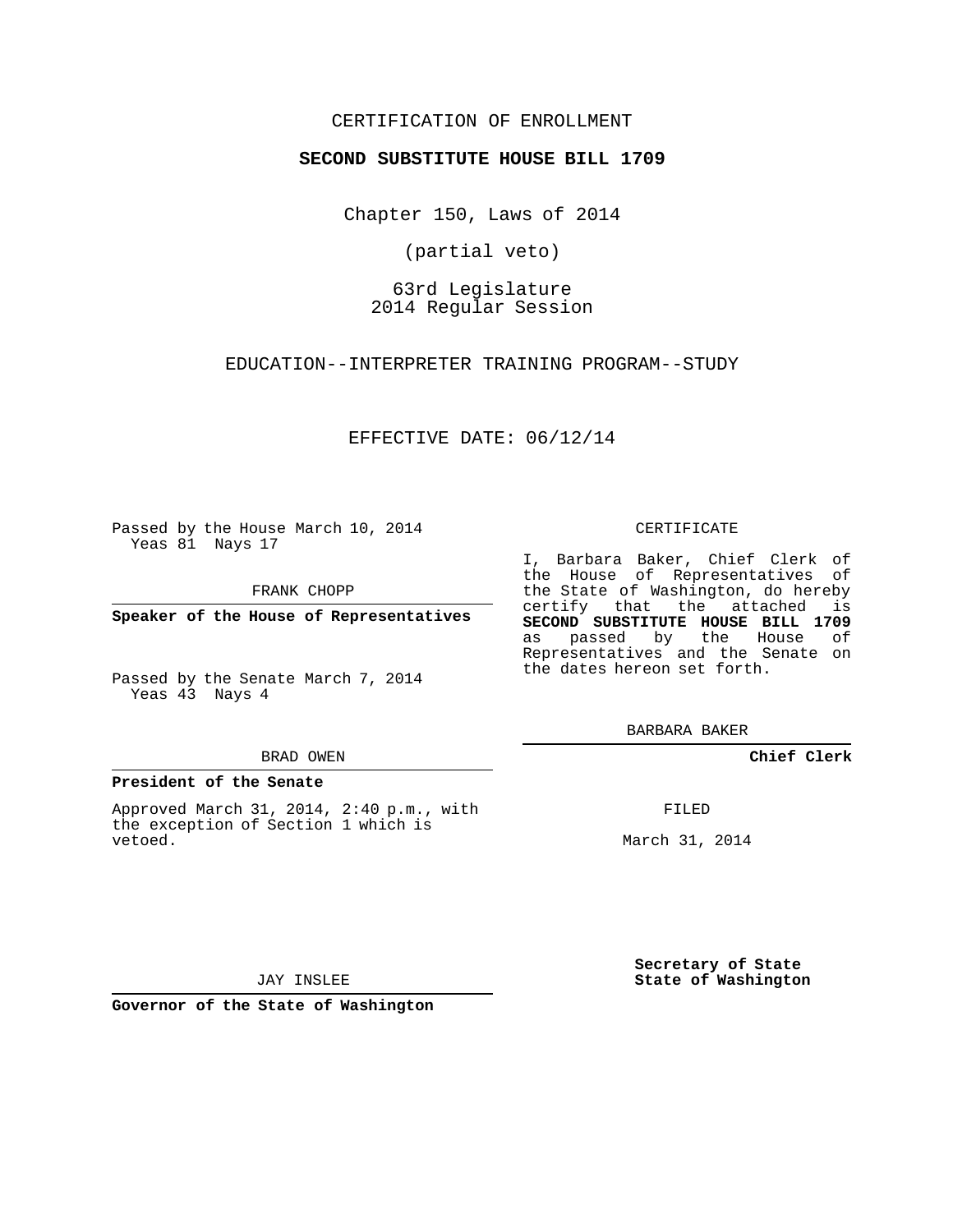### CERTIFICATION OF ENROLLMENT

### **SECOND SUBSTITUTE HOUSE BILL 1709**

Chapter 150, Laws of 2014

(partial veto)

63rd Legislature 2014 Regular Session

EDUCATION--INTERPRETER TRAINING PROGRAM--STUDY

EFFECTIVE DATE: 06/12/14

Passed by the House March 10, 2014 Yeas 81 Nays 17

FRANK CHOPP

**Speaker of the House of Representatives**

Passed by the Senate March 7, 2014 Yeas 43 Nays 4

#### BRAD OWEN

### **President of the Senate**

Approved March 31, 2014, 2:40 p.m., with the exception of Section 1 which is vetoed.

#### CERTIFICATE

I, Barbara Baker, Chief Clerk of the House of Representatives of the State of Washington, do hereby certify that the attached is **SECOND SUBSTITUTE HOUSE BILL 1709** as passed by the House of Representatives and the Senate on the dates hereon set forth.

BARBARA BAKER

**Chief Clerk**

FILED

March 31, 2014

**Secretary of State State of Washington**

JAY INSLEE

**Governor of the State of Washington**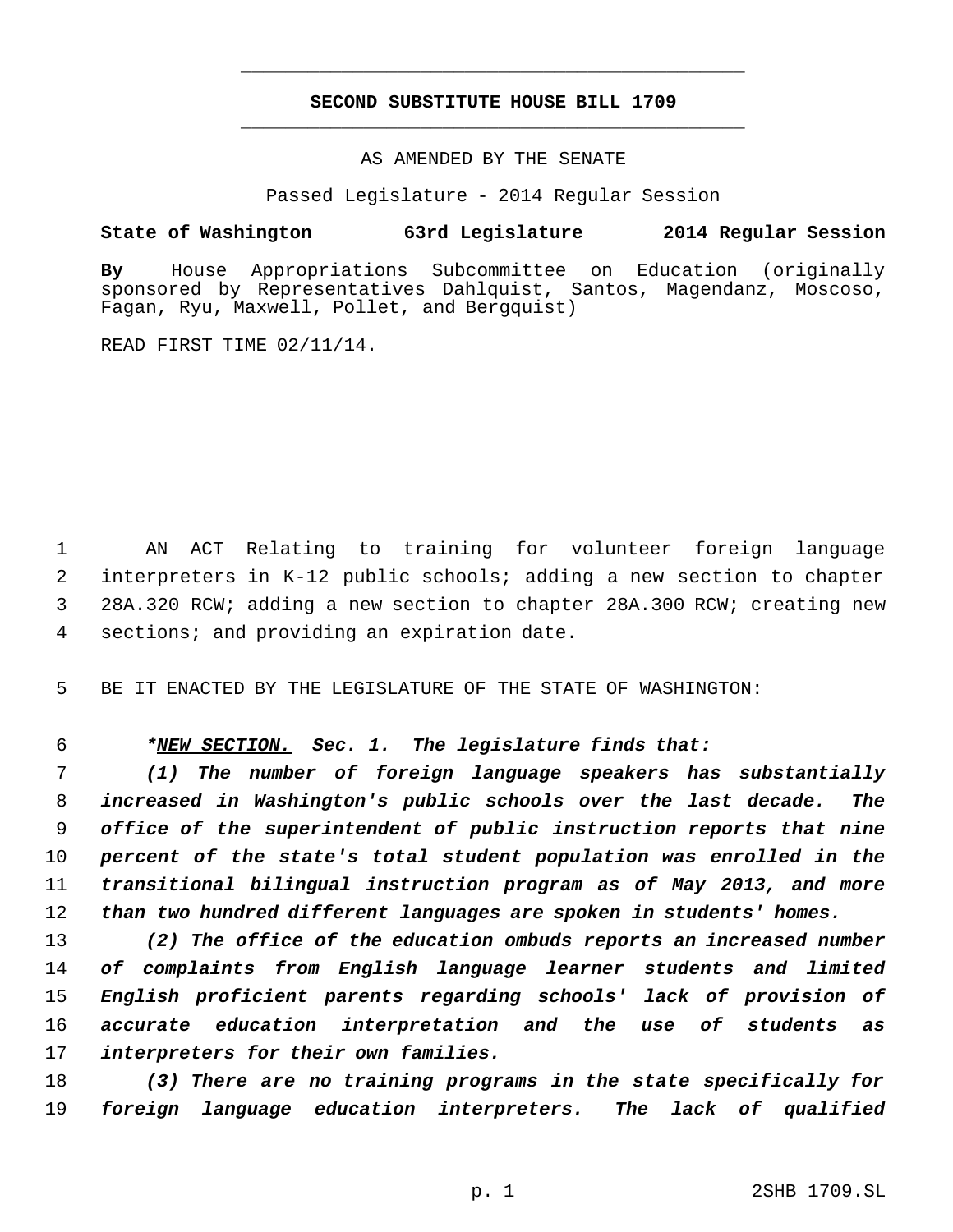# **SECOND SUBSTITUTE HOUSE BILL 1709** \_\_\_\_\_\_\_\_\_\_\_\_\_\_\_\_\_\_\_\_\_\_\_\_\_\_\_\_\_\_\_\_\_\_\_\_\_\_\_\_\_\_\_\_\_

\_\_\_\_\_\_\_\_\_\_\_\_\_\_\_\_\_\_\_\_\_\_\_\_\_\_\_\_\_\_\_\_\_\_\_\_\_\_\_\_\_\_\_\_\_

AS AMENDED BY THE SENATE

Passed Legislature - 2014 Regular Session

# **State of Washington 63rd Legislature 2014 Regular Session**

**By** House Appropriations Subcommittee on Education (originally sponsored by Representatives Dahlquist, Santos, Magendanz, Moscoso, Fagan, Ryu, Maxwell, Pollet, and Bergquist)

READ FIRST TIME 02/11/14.

 AN ACT Relating to training for volunteer foreign language interpreters in K-12 public schools; adding a new section to chapter 28A.320 RCW; adding a new section to chapter 28A.300 RCW; creating new sections; and providing an expiration date.

BE IT ENACTED BY THE LEGISLATURE OF THE STATE OF WASHINGTON:

# *\*NEW SECTION. Sec. 1. The legislature finds that:*

 *(1) The number of foreign language speakers has substantially increased in Washington's public schools over the last decade. The office of the superintendent of public instruction reports that nine percent of the state's total student population was enrolled in the transitional bilingual instruction program as of May 2013, and more than two hundred different languages are spoken in students' homes.*

 *(2) The office of the education ombuds reports an increased number of complaints from English language learner students and limited English proficient parents regarding schools' lack of provision of accurate education interpretation and the use of students as interpreters for their own families.*

 *(3) There are no training programs in the state specifically for foreign language education interpreters. The lack of qualified*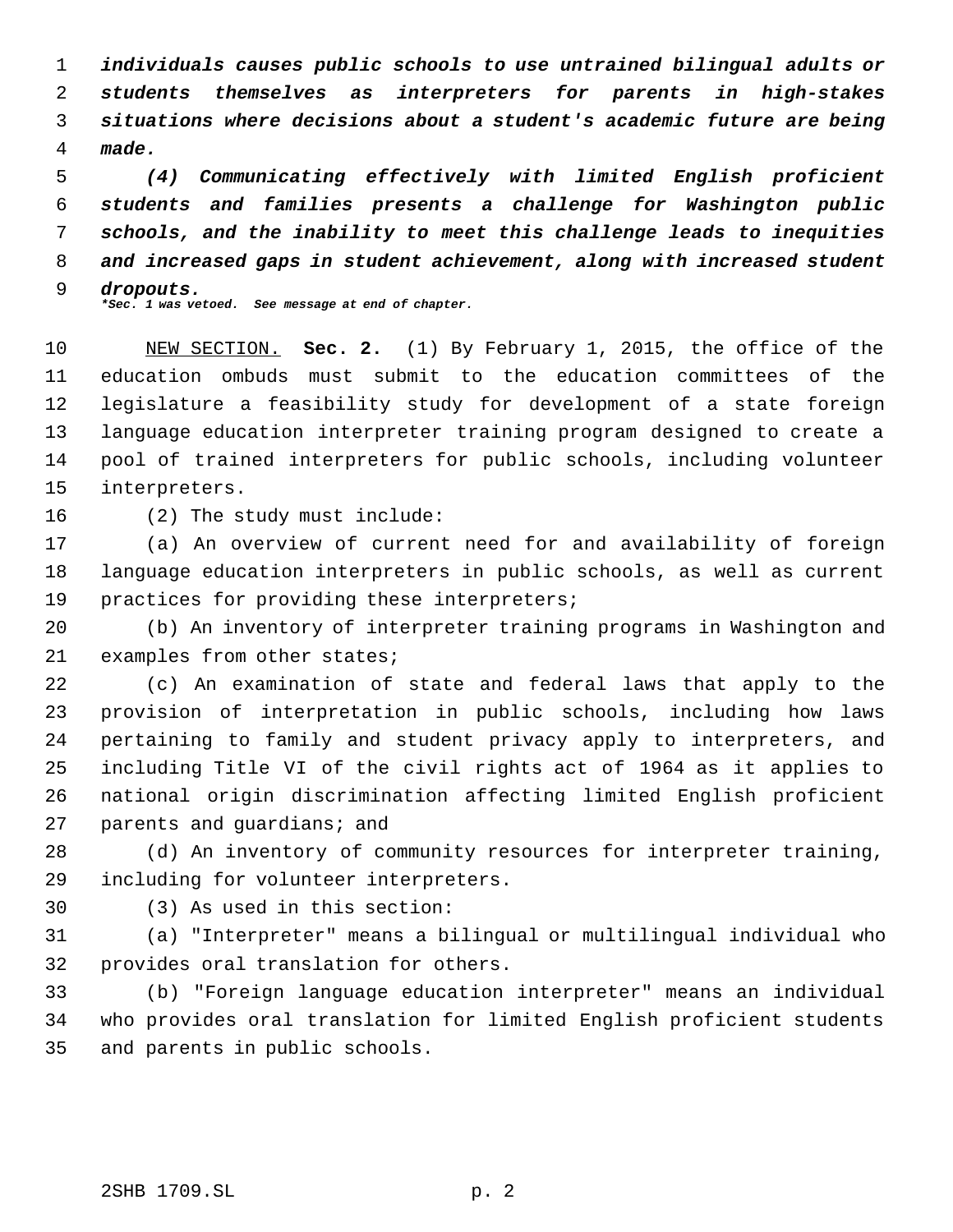*individuals causes public schools to use untrained bilingual adults or students themselves as interpreters for parents in high-stakes situations where decisions about a student's academic future are being made.*

 *(4) Communicating effectively with limited English proficient students and families presents a challenge for Washington public schools, and the inability to meet this challenge leads to inequities and increased gaps in student achievement, along with increased student dropouts. \*Sec. 1 was vetoed. See message at end of chapter.*

 NEW SECTION. **Sec. 2.** (1) By February 1, 2015, the office of the education ombuds must submit to the education committees of the legislature a feasibility study for development of a state foreign language education interpreter training program designed to create a pool of trained interpreters for public schools, including volunteer interpreters.

(2) The study must include:

 (a) An overview of current need for and availability of foreign language education interpreters in public schools, as well as current 19 practices for providing these interpreters;

 (b) An inventory of interpreter training programs in Washington and 21 examples from other states;

 (c) An examination of state and federal laws that apply to the provision of interpretation in public schools, including how laws pertaining to family and student privacy apply to interpreters, and including Title VI of the civil rights act of 1964 as it applies to national origin discrimination affecting limited English proficient parents and guardians; and

 (d) An inventory of community resources for interpreter training, including for volunteer interpreters.

(3) As used in this section:

 (a) "Interpreter" means a bilingual or multilingual individual who provides oral translation for others.

 (b) "Foreign language education interpreter" means an individual who provides oral translation for limited English proficient students and parents in public schools.